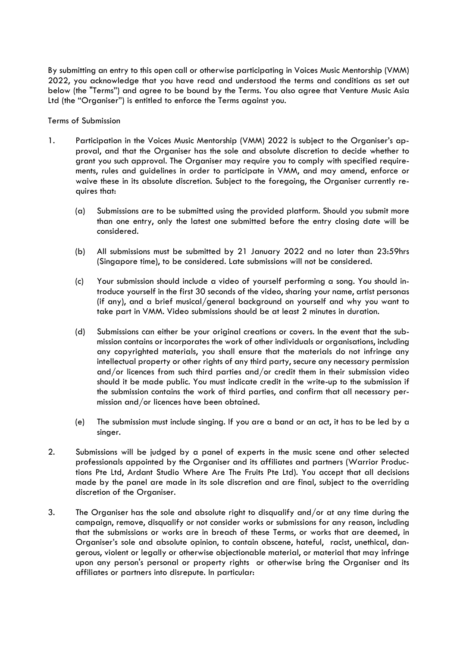By submitting an entry to this open call or otherwise participating in Voices Music Mentorship (VMM) 2022, you acknowledge that you have read and understood the terms and conditions as set out below (the "Terms") and agree to be bound by the Terms. You also agree that Venture Music Asia Ltd (the "Organiser") is entitled to enforce the Terms against you.

Terms of Submission

- 1. Participation in the Voices Music Mentorship (VMM) 2022 is subject to the Organiser's approval, and that the Organiser has the sole and absolute discretion to decide whether to grant you such approval. The Organiser may require you to comply with specified requirements, rules and guidelines in order to participate in VMM, and may amend, enforce or waive these in its absolute discretion. Subject to the foregoing, the Organiser currently requires that:
	- (a) Submissions are to be submitted using the provided platform. Should you submit more than one entry, only the latest one submitted before the entry closing date will be considered.
	- (b) All submissions must be submitted by 21 January 2022 and no later than 23:59hrs (Singapore time), to be considered. Late submissions will not be considered.
	- (c) Your submission should include a video of yourself performing a song. You should introduce yourself in the first 30 seconds of the video, sharing your name, artist personas (if any), and a brief musical/general background on yourself and why you want to take part in VMM. Video submissions should be at least 2 minutes in duration.
	- (d) Submissions can either be your original creations or covers. In the event that the submission contains or incorporates the work of other individuals or organisations, including any copyrighted materials, you shall ensure that the materials do not infringe any intellectual property or other rights of any third party, secure any necessary permission and/or licences from such third parties and/or credit them in their submission video should it be made public. You must indicate credit in the write-up to the submission if the submission contains the work of third parties, and confirm that all necessary permission and/or licences have been obtained.
	- (e) The submission must include singing. If you are a band or an act, it has to be led by a singer.
- 2. Submissions will be judged by a panel of experts in the music scene and other selected professionals appointed by the Organiser and its affiliates and partners (Warrior Productions Pte Ltd, Ardant Studio Where Are The Fruits Pte Ltd). You accept that all decisions made by the panel are made in its sole discretion and are final, subject to the overriding discretion of the Organiser.
- 3. The Organiser has the sole and absolute right to disqualify and/or at any time during the campaign, remove, disqualify or not consider works or submissions for any reason, including that the submissions or works are in breach of these Terms, or works that are deemed, in Organiser's sole and absolute opinion, to contain obscene, hateful, racist, unethical, dangerous, violent or legally or otherwise objectionable material, or material that may infringe upon any person's personal or property rights or otherwise bring the Organiser and its affiliates or partners into disrepute. In particular: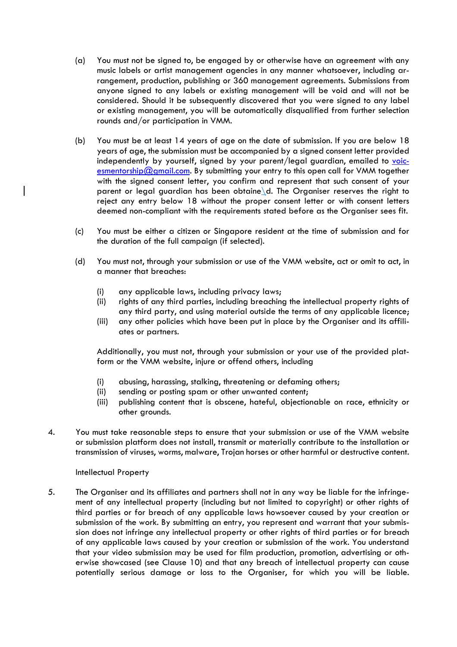- (a) You must not be signed to, be engaged by or otherwise have an agreement with any music labels or artist management agencies in any manner whatsoever, including arrangement, production, publishing or 360 management agreements. Submissions from anyone signed to any labels or existing management will be void and will not be considered. Should it be subsequently discovered that you were signed to any label or existing management, you will be automatically disqualified from further selection rounds and/or participation in VMM.
- (b) You must be at least 14 years of age on the date of submission. If you are below 18 years of age, the submission must be accompanied by a signed consent letter provided independently by yourself, signed by your parent/legal guardian, emailed to voicesmentorship@gmail.com. By submitting your entry to this open call for VMM together with the signed consent letter, you confirm and represent that such consent of your parent or legal guardian has been obtaine\d. The Organiser reserves the right to reject any entry below 18 without the proper consent letter or with consent letters deemed non-compliant with the requirements stated before as the Organiser sees fit.
- (c) You must be either a citizen or Singapore resident at the time of submission and for the duration of the full campaign (if selected).
- (d) You must not, through your submission or use of the VMM website, act or omit to act, in a manner that breaches:
	- (i) any applicable laws, including privacy laws;
	- (ii) rights of any third parties, including breaching the intellectual property rights of any third party, and using material outside the terms of any applicable licence;
	- (iii) any other policies which have been put in place by the Organiser and its affiliates or partners.

Additionally, you must not, through your submission or your use of the provided platform or the VMM website, injure or offend others, including

- (i) abusing, harassing, stalking, threatening or defaming others;
- (ii) sending or posting spam or other unwanted content;
- (iii) publishing content that is obscene, hateful, objectionable on race, ethnicity or other grounds.
- 4. You must take reasonable steps to ensure that your submission or use of the VMM website or submission platform does not install, transmit or materially contribute to the installation or transmission of viruses, worms, malware, Trojan horses or other harmful or destructive content.

# Intellectual Property

5. The Organiser and its affiliates and partners shall not in any way be liable for the infringement of any intellectual property (including but not limited to copyright) or other rights of third parties or for breach of any applicable laws howsoever caused by your creation or submission of the work. By submitting an entry, you represent and warrant that your submission does not infringe any intellectual property or other rights of third parties or for breach of any applicable laws caused by your creation or submission of the work. You understand that your video submission may be used for film production, promotion, advertising or otherwise showcased (see Clause 10) and that any breach of intellectual property can cause potentially serious damage or loss to the Organiser, for which you will be liable.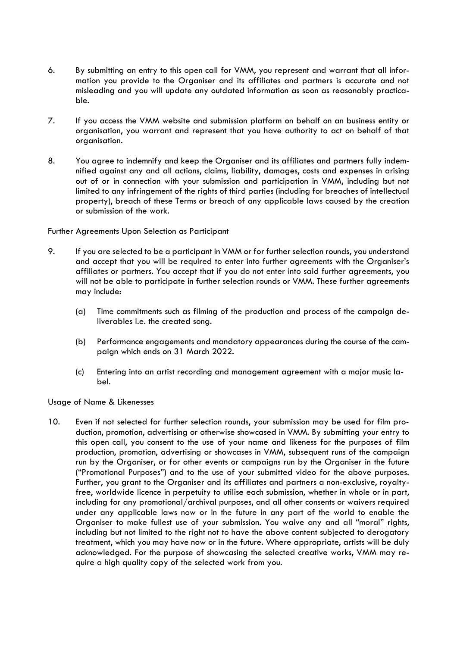- 6. By submitting an entry to this open call for VMM, you represent and warrant that all information you provide to the Organiser and its affiliates and partners is accurate and not misleading and you will update any outdated information as soon as reasonably practicable.
- 7. If you access the VMM website and submission platform on behalf on an business entity or organisation, you warrant and represent that you have authority to act on behalf of that organisation.
- 8. You agree to indemnify and keep the Organiser and its affiliates and partners fully indemnified against any and all actions, claims, liability, damages, costs and expenses in arising out of or in connection with your submission and participation in VMM, including but not limited to any infringement of the rights of third parties (including for breaches of intellectual property), breach of these Terms or breach of any applicable laws caused by the creation or submission of the work.

Further Agreements Upon Selection as Participant

- 9. If you are selected to be a participant in VMM or for further selection rounds, you understand and accept that you will be required to enter into further agreements with the Organiser's affiliates or partners. You accept that if you do not enter into said further agreements, you will not be able to participate in further selection rounds or VMM. These further agreements may include:
	- (a) Time commitments such as filming of the production and process of the campaign deliverables i.e. the created song.
	- (b) Performance engagements and mandatory appearances during the course of the campaign which ends on 31 March 2022.
	- (c) Entering into an artist recording and management agreement with a major music label.

### Usage of Name & Likenesses

10. Even if not selected for further selection rounds, your submission may be used for film production, promotion, advertising or otherwise showcased in VMM. By submitting your entry to this open call, you consent to the use of your name and likeness for the purposes of film production, promotion, advertising or showcases in VMM, subsequent runs of the campaign run by the Organiser, or for other events or campaigns run by the Organiser in the future ("Promotional Purposes") and to the use of your submitted video for the above purposes. Further, you grant to the Organiser and its affiliates and partners a non-exclusive, royaltyfree, worldwide licence in perpetuity to utilise each submission, whether in whole or in part, including for any promotional/archival purposes, and all other consents or waivers required under any applicable laws now or in the future in any part of the world to enable the Organiser to make fullest use of your submission. You waive any and all "moral" rights, including but not limited to the right not to have the above content subjected to derogatory treatment, which you may have now or in the future. Where appropriate, artists will be duly acknowledged. For the purpose of showcasing the selected creative works, VMM may require a high quality copy of the selected work from you.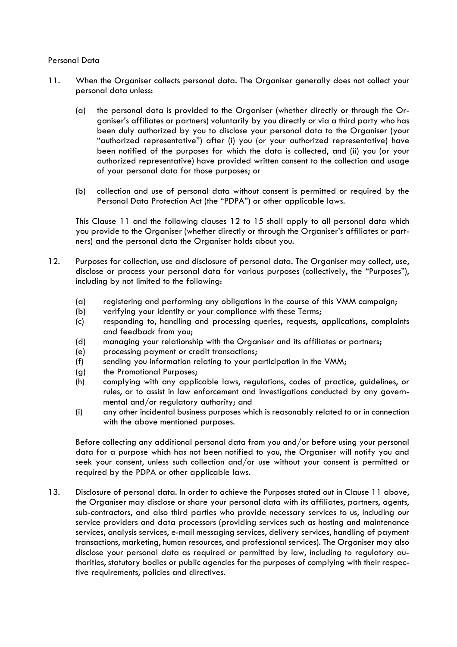### Personal Data

- 11. When the Organiser collects personal data. The Organiser generally does not collect your personal data unless:
	- (a) the personal data is provided to the Organiser (whether directly or through the Organiser's affiliates or partners) voluntarily by you directly or via a third party who has been duly authorized by you to disclose your personal data to the Organiser (your "authorized representative") after (i) you (or your authorized representative) have been notified of the purposes for which the data is collected, and (ii) you (or your authorized representative) have provided written consent to the collection and usage of your personal data for those purposes; or
	- (b) collection and use of personal data without consent is permitted or required by the Personal Data Protection Act (the "PDPA") or other applicable laws.

This Clause 11 and the following clauses 12 to 15 shall apply to all personal data which you provide to the Organiser (whether directly or through the Organiser's affiliates or partners) and the personal data the Organiser holds about you.

- 12. Purposes for collection, use and disclosure of personal data. The Organiser may collect, use, disclose or process your personal data for various purposes (collectively, the "Purposes"), including by not limited to the following:
	- (a) registering and performing any obligations in the course of this VMM campaign;
	- (b) verifying your identity or your compliance with these Terms;
	- (c) responding to, handling and processing queries, requests, applications, complaints and feedback from you;
	- (d) managing your relationship with the Organiser and its affiliates or partners;
	- (e) processing payment or credit transactions;
	- (f) sending you information relating to your participation in the VMM;
	- (g) the Promotional Purposes;
	- (h) complying with any applicable laws, regulations, codes of practice, guidelines, or rules, or to assist in law enforcement and investigations conducted by any governmental and/or regulatory authority; and
	- (i) any other incidental business purposes which is reasonably related to or in connection with the above mentioned purposes.

Before collecting any additional personal data from you and/or before using your personal data for a purpose which has not been notified to you, the Organiser will notify you and seek your consent, unless such collection and/or use without your consent is permitted or required by the PDPA or other applicable laws.

13. Disclosure of personal data. In order to achieve the Purposes stated out in Clause 11 above, the Organiser may disclose or share your personal data with its affiliates, partners, agents, sub-contractors, and also third parties who provide necessary services to us, including our service providers and data processors (providing services such as hosting and maintenance services, analysis services, e-mail messaging services, delivery services, handling of payment transactions, marketing, human resources, and professional services). The Organiser may also disclose your personal data as required or permitted by law, including to regulatory authorities, statutory bodies or public agencies for the purposes of complying with their respective requirements, policies and directives.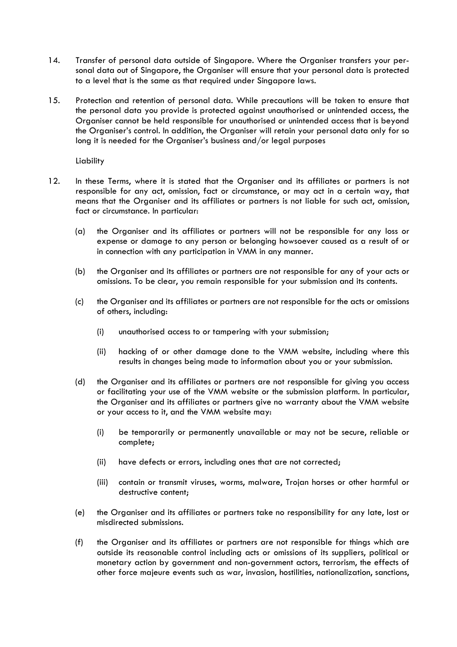- 14. Transfer of personal data outside of Singapore. Where the Organiser transfers your personal data out of Singapore, the Organiser will ensure that your personal data is protected to a level that is the same as that required under Singapore laws.
- 15. Protection and retention of personal data. While precautions will be taken to ensure that the personal data you provide is protected against unauthorised or unintended access, the Organiser cannot be held responsible for unauthorised or unintended access that is beyond the Organiser's control. In addition, the Organiser will retain your personal data only for so long it is needed for the Organiser's business and/or legal purposes

Liability

- 12. In these Terms, where it is stated that the Organiser and its affiliates or partners is not responsible for any act, omission, fact or circumstance, or may act in a certain way, that means that the Organiser and its affiliates or partners is not liable for such act, omission, fact or circumstance. In particular:
	- (a) the Organiser and its affiliates or partners will not be responsible for any loss or expense or damage to any person or belonging howsoever caused as a result of or in connection with any participation in VMM in any manner.
	- (b) the Organiser and its affiliates or partners are not responsible for any of your acts or omissions. To be clear, you remain responsible for your submission and its contents.
	- (c) the Organiser and its affiliates or partners are not responsible for the acts or omissions of others, including:
		- (i) unauthorised access to or tampering with your submission;
		- (ii) hacking of or other damage done to the VMM website, including where this results in changes being made to information about you or your submission.
	- (d) the Organiser and its affiliates or partners are not responsible for giving you access or facilitating your use of the VMM website or the submission platform. In particular, the Organiser and its affiliates or partners give no warranty about the VMM website or your access to it, and the VMM website may:
		- (i) be temporarily or permanently unavailable or may not be secure, reliable or complete;
		- (ii) have defects or errors, including ones that are not corrected;
		- (iii) contain or transmit viruses, worms, malware, Trojan horses or other harmful or destructive content;
	- (e) the Organiser and its affiliates or partners take no responsibility for any late, lost or misdirected submissions.
	- (f) the Organiser and its affiliates or partners are not responsible for things which are outside its reasonable control including acts or omissions of its suppliers, political or monetary action by government and non-government actors, terrorism, the effects of other force majeure events such as war, invasion, hostilities, nationalization, sanctions,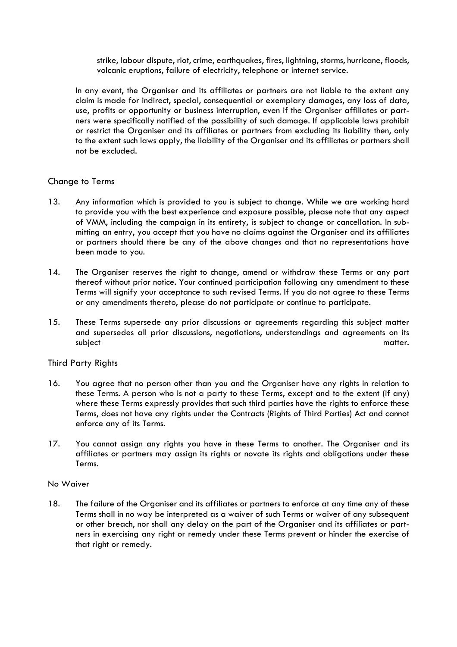strike, labour dispute, riot, crime, earthquakes, fires, lightning, storms, hurricane, floods, volcanic eruptions, failure of electricity, telephone or internet service.

In any event, the Organiser and its affiliates or partners are not liable to the extent any claim is made for indirect, special, consequential or exemplary damages, any loss of data, use, profits or opportunity or business interruption, even if the Organiser affiliates or partners were specifically notified of the possibility of such damage. If applicable laws prohibit or restrict the Organiser and its affiliates or partners from excluding its liability then, only to the extent such laws apply, the liability of the Organiser and its affiliates or partners shall not be excluded.

# Change to Terms

- 13. Any information which is provided to you is subject to change. While we are working hard to provide you with the best experience and exposure possible, please note that any aspect of VMM, including the campaign in its entirety, is subject to change or cancellation. In submitting an entry, you accept that you have no claims against the Organiser and its affiliates or partners should there be any of the above changes and that no representations have been made to you.
- 14. The Organiser reserves the right to change, amend or withdraw these Terms or any part thereof without prior notice. Your continued participation following any amendment to these Terms will signify your acceptance to such revised Terms. If you do not agree to these Terms or any amendments thereto, please do not participate or continue to participate.
- 15. These Terms supersede any prior discussions or agreements regarding this subject matter and supersedes all prior discussions, negotiations, understandings and agreements on its subject matter.

# Third Party Rights

- 16. You agree that no person other than you and the Organiser have any rights in relation to these Terms. A person who is not a party to these Terms, except and to the extent (if any) where these Terms expressly provides that such third parties have the rights to enforce these Terms, does not have any rights under the Contracts (Rights of Third Parties) Act and cannot enforce any of its Terms.
- 17. You cannot assign any rights you have in these Terms to another. The Organiser and its affiliates or partners may assign its rights or novate its rights and obligations under these Terms.

### No Waiver

18. The failure of the Organiser and its affiliates or partners to enforce at any time any of these Terms shall in no way be interpreted as a waiver of such Terms or waiver of any subsequent or other breach, nor shall any delay on the part of the Organiser and its affiliates or partners in exercising any right or remedy under these Terms prevent or hinder the exercise of that right or remedy.